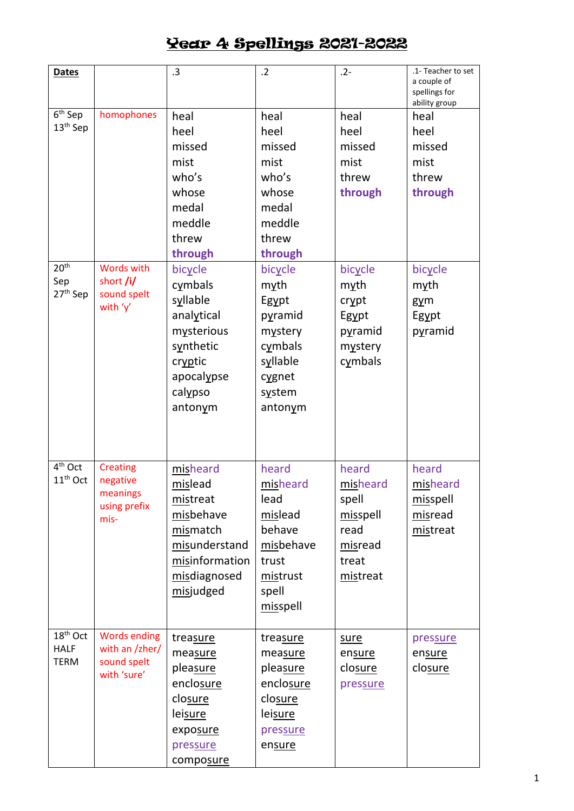| <b>Dates</b>                      |                            | .3             | $\cdot$ .2 | $.2 -$   | .1- Teacher to set<br>a couple of<br>spellings for<br>ability group |
|-----------------------------------|----------------------------|----------------|------------|----------|---------------------------------------------------------------------|
| $6th$ Sep                         | homophones                 | heal           | heal       | heal     | heal                                                                |
| 13 <sup>th</sup> Sep              |                            | heel           | heel       | heel     | heel                                                                |
|                                   |                            | missed         | missed     | missed   | missed                                                              |
|                                   |                            | mist           | mist       | mist     | mist                                                                |
|                                   |                            | who's          | who's      | threw    | threw                                                               |
|                                   |                            | whose          | whose      | through  | through                                                             |
|                                   |                            | medal          | medal      |          |                                                                     |
|                                   |                            | meddle         | meddle     |          |                                                                     |
|                                   |                            | threw          | threw      |          |                                                                     |
|                                   |                            | through        | through    |          |                                                                     |
| 20 <sup>th</sup>                  | <b>Words with</b>          | bicycle        | bicycle    | bicycle  | bicycle                                                             |
| Sep                               | short /i/                  | cymbals        | myth       | myth     | myth                                                                |
| 27 <sup>th</sup> Sep              | sound spelt<br>with 'y'    | syllable       | Egypt      | crypt    | $g\gamma$ m                                                         |
|                                   |                            | analytical     | pyramid    | Egypt    | Egypt                                                               |
|                                   |                            | mysterious     | mystery    | pyramid  | pyramid                                                             |
|                                   |                            | synthetic      | cymbals    | mystery  |                                                                     |
|                                   |                            | cryptic        | syllable   | cymbals  |                                                                     |
|                                   |                            | apocalypse     | cygnet     |          |                                                                     |
|                                   |                            | calypso        | system     |          |                                                                     |
|                                   |                            | antonym        | antonym    |          |                                                                     |
|                                   |                            |                |            |          |                                                                     |
| $4th$ Oct                         | <b>Creating</b>            | misheard       | heard      | heard    | heard                                                               |
| 11 <sup>th</sup> Oct              | negative<br>meanings       | mislead        | misheard   | misheard | misheard                                                            |
|                                   | using prefix               | mistreat       | lead       | spell    | misspell                                                            |
|                                   | mis-                       | misbehave      | mislead    | misspell | misread                                                             |
|                                   |                            | mismatch       | behave     | read     | mistreat                                                            |
|                                   |                            | misunderstand  | misbehave  | misread  |                                                                     |
|                                   |                            | misinformation | trust      | treat    |                                                                     |
|                                   |                            | misdiagnosed   | mistrust   | mistreat |                                                                     |
|                                   |                            | misjudged      | spell      |          |                                                                     |
|                                   |                            |                | misspell   |          |                                                                     |
| $\overline{18}$ <sup>th</sup> Oct | <b>Words ending</b>        | treasure       | treasure   | sure     | pressure                                                            |
| <b>HALF</b>                       | with an /zher/             | measure        | measure    | ensure   | ensure                                                              |
| <b>TERM</b>                       | sound spelt<br>with 'sure' | pleasure       | pleasure   | closure  | closure                                                             |
|                                   |                            | enclosure      | enclosure  | pressure |                                                                     |
|                                   |                            | closure        | closure    |          |                                                                     |
|                                   |                            | leisure        | leisure    |          |                                                                     |
|                                   |                            | exposure       | pressure   |          |                                                                     |
|                                   |                            | pressure       | ensure     |          |                                                                     |
|                                   |                            | composure      |            |          |                                                                     |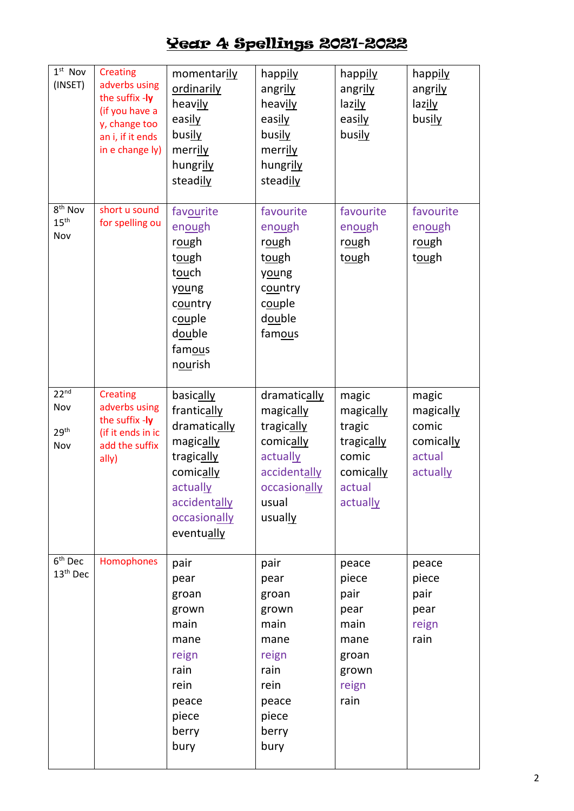| $1st$ Nov<br>(INSET)                               | <b>Creating</b><br>adverbs using<br>the suffix -ly<br>(if you have a<br>y, change too<br>an i, if it ends<br>in e change ly) | momentarily<br>ordinarily<br>heavily<br>easily<br>busily<br>merrily<br>hungrily<br>steadily                                                | happily<br>angrily<br>heavily<br>easily<br>busily<br>merrily<br>hungrily<br>steadily                                 | happily<br>angrily<br>lazily<br>easily<br>busily                                       | happily<br>angrily<br>lazily<br>busily                         |
|----------------------------------------------------|------------------------------------------------------------------------------------------------------------------------------|--------------------------------------------------------------------------------------------------------------------------------------------|----------------------------------------------------------------------------------------------------------------------|----------------------------------------------------------------------------------------|----------------------------------------------------------------|
| 8 <sup>th</sup> Nov<br>15 <sup>th</sup><br>Nov     | short u sound<br>for spelling ou                                                                                             | favourite<br>enough<br>rough<br>tough<br>touch<br>young<br>country<br>couple<br>double<br>famous<br>nourish                                | favourite<br>enough<br>rough<br>tough<br>young<br>country<br>couple<br>double<br>famous                              | favourite<br>enough<br>rough<br>tough                                                  | favourite<br>enough<br>rough<br>tough                          |
| 22 <sup>nd</sup><br>Nov<br>29 <sup>th</sup><br>Nov | <b>Creating</b><br>adverbs using<br>the suffix -ly<br>(if it ends in ic<br>add the suffix<br>ally)                           | basically<br>frantically<br>dramatically<br>magically<br>tragically<br>comically<br>actually<br>accidentally<br>occasionally<br>eventually | dramatically<br>magically<br>tragically<br>comically<br>actually<br>accidentally<br>occasionally<br>usual<br>usually | magic<br>magically<br>tragic<br>tragically<br>comic<br>comically<br>actual<br>actually | magic<br>magically<br>comic<br>comically<br>actual<br>actually |
| $6th$ Dec<br>13 <sup>th</sup> Dec                  | Homophones                                                                                                                   | pair<br>pear<br>groan<br>grown<br>main<br>mane<br>reign<br>rain<br>rein<br>peace<br>piece<br>berry<br>bury                                 | pair<br>pear<br>groan<br>grown<br>main<br>mane<br>reign<br>rain<br>rein<br>peace<br>piece<br>berry<br>bury           | peace<br>piece<br>pair<br>pear<br>main<br>mane<br>groan<br>grown<br>reign<br>rain      | peace<br>piece<br>pair<br>pear<br>reign<br>rain                |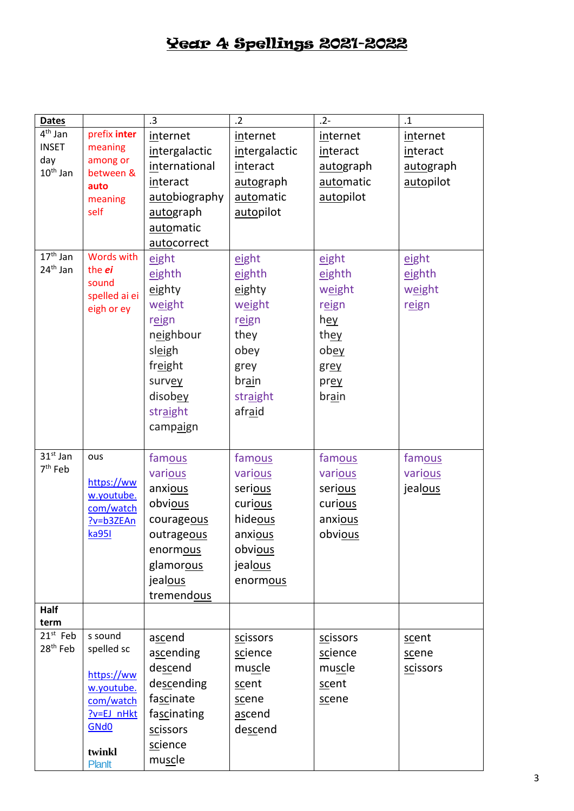| <b>Dates</b>                   |                         | .3            | $\overline{2}$ | $.2 -$       | $\cdot$ 1 |
|--------------------------------|-------------------------|---------------|----------------|--------------|-----------|
| $\overline{4}^{\text{th}}$ Jan | prefix inter            | internet      | internet       | internet     | internet  |
| <b>INSET</b>                   | meaning                 | intergalactic | intergalactic  | interact     | interact  |
| day                            | among or                | international | interact       | autograph    | autograph |
| $10th$ Jan                     | between &<br>auto       | interact      | autograph      | automatic    | autopilot |
|                                | meaning                 | autobiography | automatic      | autopilot    |           |
|                                | self                    | autograph     | autopilot      |              |           |
|                                |                         | automatic     |                |              |           |
|                                |                         | autocorrect   |                |              |           |
| $17th$ Jan                     | <b>Words with</b>       | eight         | eight          | eight        | eight     |
| 24 <sup>th</sup> Jan           | the <i>ei</i>           | eighth        | eighth         | eighth       | eighth    |
|                                | sound                   |               |                |              |           |
|                                | spelled ai ei           | eighty        | eighty         | weight       | weight    |
|                                | eigh or ey              | weight        | weight         | reign        | reign     |
|                                |                         | reign         | reign          | hey          |           |
|                                |                         | neighbour     | they           | they         |           |
|                                |                         | sleigh        | obey           | ob <u>ey</u> |           |
|                                |                         | freight       | grey           | grey         |           |
|                                |                         | survey        | brain          | prey         |           |
|                                |                         | disobey       | straight       | <b>brain</b> |           |
|                                |                         | straight      | afraid         |              |           |
|                                |                         | campaign      |                |              |           |
|                                |                         |               |                |              |           |
| $31st$ Jan                     | ous                     | famous        | famous         | famous       | famous    |
| 7 <sup>th</sup> Feb            |                         | various       | various        | various      | various   |
|                                | https://ww              | anxious       | serious        | serious      | jealous   |
|                                | w.youtube.<br>com/watch | obvious       | curious        | curious      |           |
|                                | ?v=b3ZEAn               | courageous    | hideous        | anxious      |           |
|                                | ka951                   | outrageous    | anxious        | obvious      |           |
|                                |                         | enormous      | obvious        |              |           |
|                                |                         | glamorous     | jealous        |              |           |
|                                |                         | jealous       | enormous       |              |           |
|                                |                         | tremendous    |                |              |           |
| Half                           |                         |               |                |              |           |
| term                           |                         |               |                |              |           |
| $21^{st}$ Feb                  | s sound                 | ascend        | scissors       | scissors     | scent     |
| $28^{\text{th}}$ Feb           | spelled sc              | ascending     | science        | science      | scene     |
|                                | https://ww              | descend       | muscle         | muscle       | scissors  |
|                                | w.youtube.              | descending    | scent          | scent        |           |
|                                | com/watch               | fascinate     | scene          | scene        |           |
|                                | ?v=EJ_nHkt              | fascinating   | ascend         |              |           |
|                                | GN <sub>d</sub> O       | scissors      | descend        |              |           |
|                                |                         | science       |                |              |           |
|                                | twinkl<br><b>Planit</b> | muscle        |                |              |           |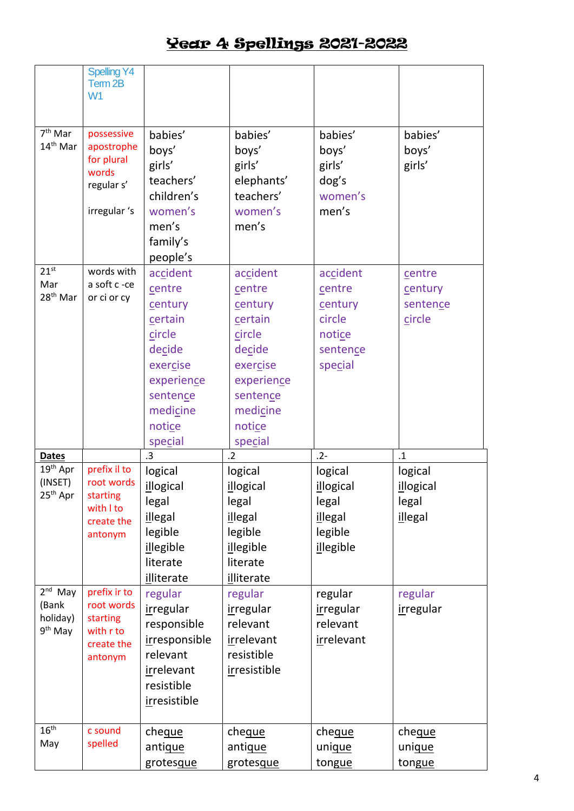|                                                       | <b>Spelling Y4</b><br>Term 2B<br>W <sub>1</sub>                               |                                                                                                                                     |                                                                                                                                     |                                                                                |                                                        |
|-------------------------------------------------------|-------------------------------------------------------------------------------|-------------------------------------------------------------------------------------------------------------------------------------|-------------------------------------------------------------------------------------------------------------------------------------|--------------------------------------------------------------------------------|--------------------------------------------------------|
| $7th$ Mar<br>14 <sup>th</sup> Mar                     | possessive<br>apostrophe<br>for plural<br>words<br>regular s'<br>irregular 's | babies'<br>boys'<br>girls'<br>teachers'<br>children's<br>women's<br>men's<br>family's<br>people's                                   | babies'<br>boys'<br>girls'<br>elephants'<br>teachers'<br>women's<br>men's                                                           | babies'<br>boys'<br>girls'<br>dog's<br>women's<br>men's                        | babies'<br>boys'<br>girls'                             |
| $21^{st}$<br>Mar<br>28 <sup>th</sup> Mar              | words with<br>a soft c -ce<br>or ci or cy                                     | accident<br>centre<br>century<br>certain<br>circle<br>decide<br>exercise<br>experience<br>sentence<br>medicine<br>notice<br>special | accident<br>centre<br>century<br>certain<br>circle<br>decide<br>exercise<br>experience<br>sentence<br>medicine<br>notice<br>special | accident<br>centre<br>century<br>circle<br>notice<br>sentence<br>special       | centre<br>century<br>sentence<br>circle                |
| <b>Dates</b>                                          |                                                                               | .3                                                                                                                                  | $\cdot$ .2                                                                                                                          | $.2 -$                                                                         | $\cdot$ 1                                              |
| 19th Apr<br>(INSET)<br>$25th$ Apr                     | prefix il to<br>root words<br>starting<br>with I to<br>create the<br>antonym  | logical<br>illogical<br>legal<br>illegal<br>legible<br>illegible<br>literate<br>illiterate                                          | logical<br>illogical<br>legal<br>illegal<br>legible<br>illegible<br>literate<br>illiterate                                          | logical<br><i>illogical</i><br>legal<br>illegal<br>legible<br><i>illegible</i> | logical<br><i>illogical</i><br>legal<br><i>illegal</i> |
| $2nd$ May<br>(Bank<br>holiday)<br>9 <sup>th</sup> May | prefix ir to<br>root words<br>starting<br>with r to<br>create the<br>antonym  | regular<br><i>irregular</i><br>responsible<br>irresponsible<br>relevant<br>irrelevant<br>resistible<br>irresistible                 | regular<br>irregular<br>relevant<br>irrelevant<br>resistible<br>irresistible                                                        | regular<br>irregular<br>relevant<br>irrelevant                                 | regular<br><i>irregular</i>                            |
| 16 <sup>th</sup><br>May                               | c sound<br>spelled                                                            | cheque<br>antigue<br>grotesque                                                                                                      | cheque<br>antique<br>grotesque                                                                                                      | cheque<br>unique<br>tongue                                                     | cheque<br>unique<br>tongue                             |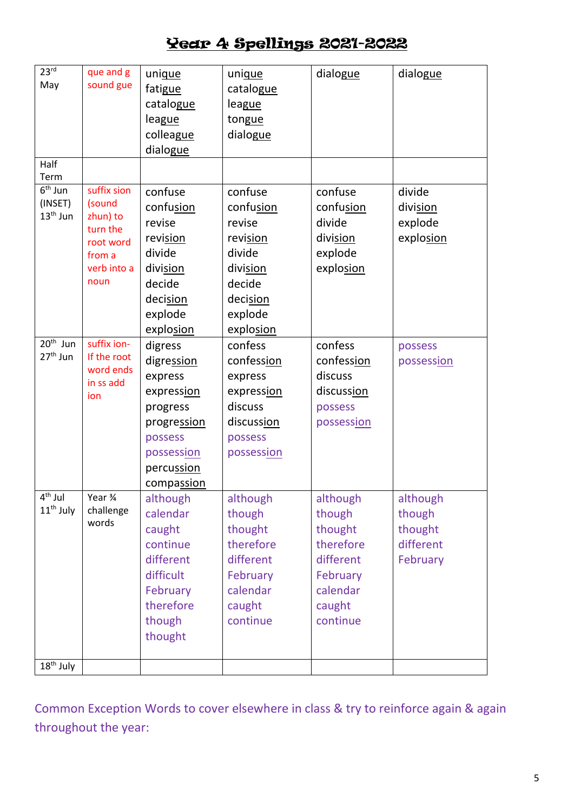| 23 <sup>rd</sup><br>May<br>Half    | que and g<br>sound gue                                                                      | unique<br>fatigue<br>catalogue<br>league<br>colleague<br>dialogue                                              | unique<br>catalogue<br>league<br>tongue<br>dialogue                                                            | dialogue                                                           | dialogue                                   |
|------------------------------------|---------------------------------------------------------------------------------------------|----------------------------------------------------------------------------------------------------------------|----------------------------------------------------------------------------------------------------------------|--------------------------------------------------------------------|--------------------------------------------|
| Term                               |                                                                                             |                                                                                                                |                                                                                                                |                                                                    |                                            |
| $6th$ Jun<br>(INSET)<br>$13th$ Jun | suffix sion<br>(sound<br>zhun) to<br>turn the<br>root word<br>from a<br>verb into a<br>noun | confuse<br>confusion<br>revise<br>revision<br>divide<br>division<br>decide<br>decision<br>explode<br>explosion | confuse<br>confusion<br>revise<br>revision<br>divide<br>division<br>decide<br>decision<br>explode<br>explosion | confuse<br>confusion<br>divide<br>division<br>explode<br>explosion | divide<br>division<br>explode<br>explosion |
| 20 <sup>th</sup> Jun               | suffix ion-                                                                                 | digress                                                                                                        | confess                                                                                                        | confess                                                            | possess                                    |
| $27th$ Jun                         | If the root<br>word ends                                                                    | digression<br>express                                                                                          | confession<br>express                                                                                          | confession<br>discuss                                              | possession                                 |
|                                    | in ss add                                                                                   | expression                                                                                                     | expression                                                                                                     | discussion                                                         |                                            |
|                                    | ion                                                                                         | progress                                                                                                       | discuss                                                                                                        | possess                                                            |                                            |
|                                    |                                                                                             | progression                                                                                                    | discussion                                                                                                     | possession                                                         |                                            |
|                                    |                                                                                             | possess                                                                                                        | possess                                                                                                        |                                                                    |                                            |
|                                    |                                                                                             | possession                                                                                                     | possession                                                                                                     |                                                                    |                                            |
|                                    |                                                                                             | percussion                                                                                                     |                                                                                                                |                                                                    |                                            |
|                                    |                                                                                             | compassion                                                                                                     |                                                                                                                |                                                                    |                                            |
| $\overline{4^{th}}$ Jul            | Year ¾                                                                                      | although                                                                                                       | although                                                                                                       | although                                                           | although                                   |
| $11th$ July                        | challenge<br>words                                                                          | calendar                                                                                                       | though                                                                                                         | though                                                             | though                                     |
|                                    |                                                                                             | caught                                                                                                         | thought<br>therefore                                                                                           | thought<br>therefore                                               | thought                                    |
|                                    |                                                                                             | continue<br>different                                                                                          | different                                                                                                      | different                                                          | different<br>February                      |
|                                    |                                                                                             | difficult                                                                                                      | February                                                                                                       | February                                                           |                                            |
|                                    |                                                                                             | February                                                                                                       | calendar                                                                                                       | calendar                                                           |                                            |
|                                    |                                                                                             | therefore                                                                                                      | caught                                                                                                         | caught                                                             |                                            |
|                                    |                                                                                             | though                                                                                                         | continue                                                                                                       | continue                                                           |                                            |
|                                    |                                                                                             | thought                                                                                                        |                                                                                                                |                                                                    |                                            |
| 18 <sup>th</sup> July              |                                                                                             |                                                                                                                |                                                                                                                |                                                                    |                                            |

Common Exception Words to cover elsewhere in class & try to reinforce again & again throughout the year: